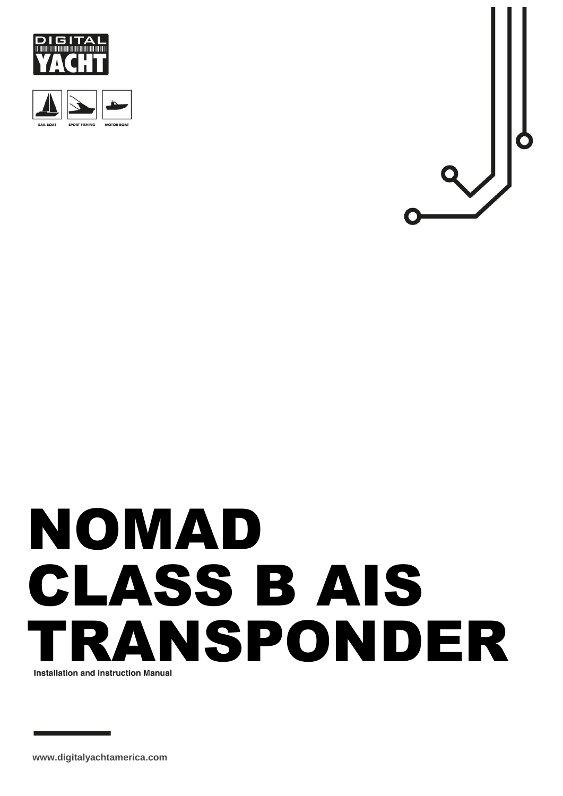





# NOMAD CLASS B AIS TRANSPONDER

**www.digitalyachtamerica.com**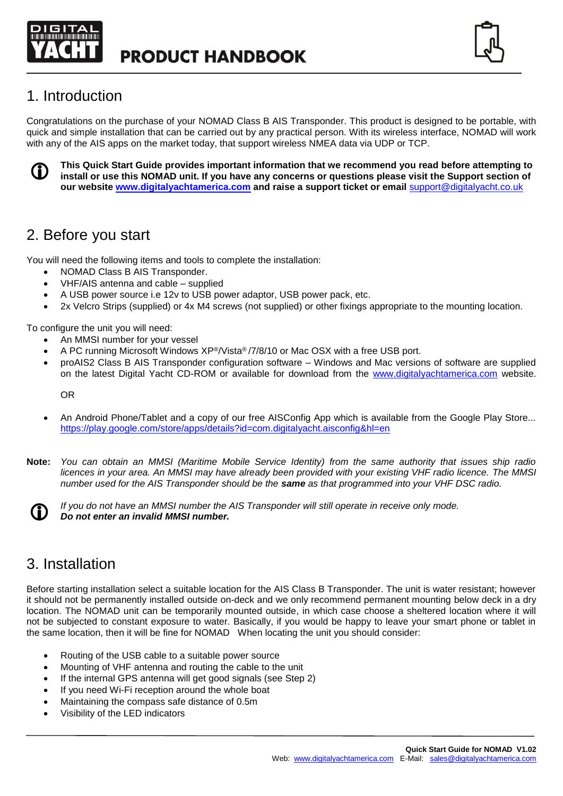



## 1. Introduction

Congratulations on the purchase of your NOMAD Class B AIS Transponder. This product is designed to be portable, with quick and simple installation that can be carried out by any practical person. With its wireless interface, NOMAD will work with any of the AIS apps on the market today, that support wireless NMEA data via UDP or TCP.



**This Quick Start Guide provides important information that we recommend you read before attempting to install or use this NOMAD unit. If you have any concerns or questions please visit the Support section of our website [www.digitalyachtamerica.com](http://www.digitalyachtamerica.com/) and raise a support ticket or email** [support@digitalyacht.co.uk](mailto:support@digitalyacht.co.uk)

## 2. Before you start

You will need the following items and tools to complete the installation:

- NOMAD Class B AIS Transponder.
- VHF/AIS antenna and cable supplied
- A USB power source i.e 12v to USB power adaptor, USB power pack, etc.
- 2x Velcro Strips (supplied) or 4x M4 screws (not supplied) or other fixings appropriate to the mounting location.

To configure the unit you will need:

- An MMSI number for your vessel
- A PC running Microsoft Windows XP®/Vista® /7/8/10 or Mac OSX with a free USB port.
- proAIS2 Class B AIS Transponder configuration software Windows and Mac versions of software are supplied on the latest Digital Yacht CD-ROM or available for download from the [www.digitalyachtamerica.com](http://www.digitalyachtamerica.com/) website.

OR

- An Android Phone/Tablet and a copy of our free AISConfig App which is available from the Google Play Store... <https://play.google.com/store/apps/details?id=com.digitalyacht.aisconfig&hl=en>
- **Note:** *You can obtain an MMSI (Maritime Mobile Service Identity) from the same authority that issues ship radio licences in your area. An MMSI may have already been provided with your existing VHF radio licence. The MMSI number used for the AIS Transponder should be the same as that programmed into your VHF DSC radio.*



*If you do not have an MMSI number the AIS Transponder will still operate in receive only mode. Do not enter an invalid MMSI number.*

# 3. Installation

Before starting installation select a suitable location for the AIS Class B Transponder. The unit is water resistant; however it should not be permanently installed outside on-deck and we only recommend permanent mounting below deck in a dry location. The NOMAD unit can be temporarily mounted outside, in which case choose a sheltered location where it will not be subjected to constant exposure to water. Basically, if you would be happy to leave your smart phone or tablet in the same location, then it will be fine for NOMAD When locating the unit you should consider:

- Routing of the USB cable to a suitable power source
- Mounting of VHF antenna and routing the cable to the unit
- If the internal GPS antenna will get good signals (see Step 2)
- If you need Wi-Fi reception around the whole boat
- Maintaining the compass safe distance of 0.5m
- Visibility of the LED indicators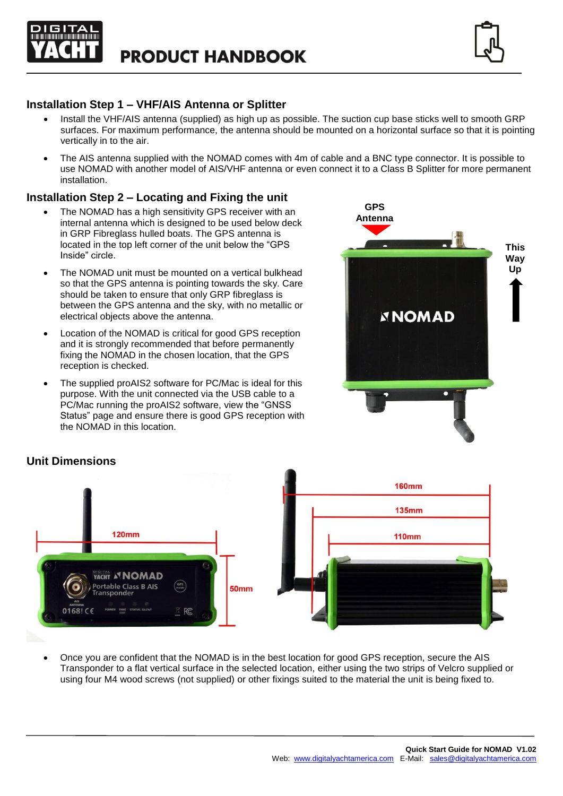



## **Installation Step 1 – VHF/AIS Antenna or Splitter**

- Install the VHF/AIS antenna (supplied) as high up as possible. The suction cup base sticks well to smooth GRP surfaces. For maximum performance, the antenna should be mounted on a horizontal surface so that it is pointing vertically in to the air.
- The AIS antenna supplied with the NOMAD comes with 4m of cable and a BNC type connector. It is possible to use NOMAD with another model of AIS/VHF antenna or even connect it to a Class B Splitter for more permanent installation.

## **Installation Step 2 – Locating and Fixing the unit**

- The NOMAD has a high sensitivity GPS receiver with an internal antenna which is designed to be used below deck in GRP Fibreglass hulled boats. The GPS antenna is located in the top left corner of the unit below the "GPS Inside" circle.
- The NOMAD unit must be mounted on a vertical bulkhead so that the GPS antenna is pointing towards the sky. Care should be taken to ensure that only GRP fibreglass is between the GPS antenna and the sky, with no metallic or electrical objects above the antenna.
- Location of the NOMAD is critical for good GPS reception and it is strongly recommended that before permanently fixing the NOMAD in the chosen location, that the GPS reception is checked.
- The supplied proAIS2 software for PC/Mac is ideal for this purpose. With the unit connected via the USB cable to a PC/Mac running the proAIS2 software, view the "GNSS Status" page and ensure there is good GPS reception with the NOMAD in this location.



## **Unit Dimensions**



• Once you are confident that the NOMAD is in the best location for good GPS reception, secure the AIS Transponder to a flat vertical surface in the selected location, either using the two strips of Velcro supplied or using four M4 wood screws (not supplied) or other fixings suited to the material the unit is being fixed to.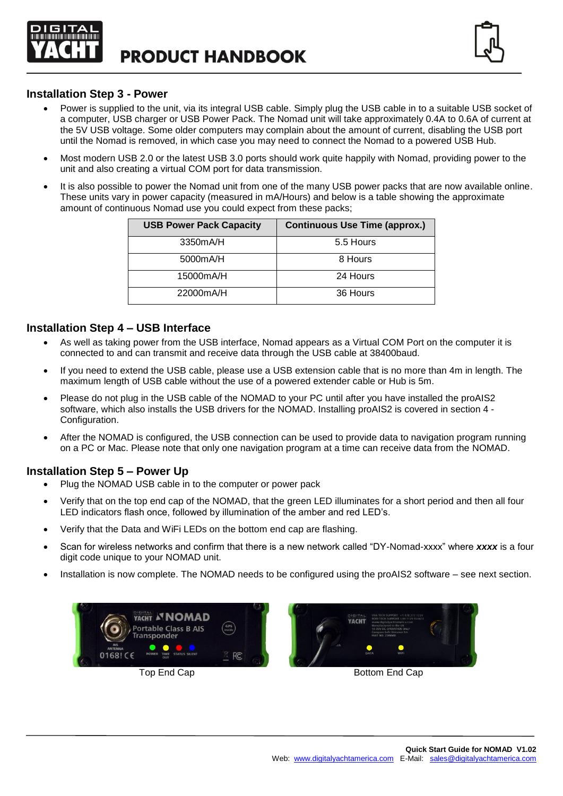



#### **Installation Step 3 - Power**

- Power is supplied to the unit, via its integral USB cable. Simply plug the USB cable in to a suitable USB socket of a computer, USB charger or USB Power Pack. The Nomad unit will take approximately 0.4A to 0.6A of current at the 5V USB voltage. Some older computers may complain about the amount of current, disabling the USB port until the Nomad is removed, in which case you may need to connect the Nomad to a powered USB Hub.
- Most modern USB 2.0 or the latest USB 3.0 ports should work quite happily with Nomad, providing power to the unit and also creating a virtual COM port for data transmission.
- It is also possible to power the Nomad unit from one of the many USB power packs that are now available online. These units vary in power capacity (measured in mA/Hours) and below is a table showing the approximate amount of continuous Nomad use you could expect from these packs;

| <b>USB Power Pack Capacity</b> | <b>Continuous Use Time (approx.)</b> |  |  |
|--------------------------------|--------------------------------------|--|--|
| 3350mA/H                       | 5.5 Hours                            |  |  |
| 5000mA/H                       | 8 Hours                              |  |  |
| 15000mA/H                      | 24 Hours                             |  |  |
| 22000mA/H                      | 36 Hours                             |  |  |

#### **Installation Step 4 – USB Interface**

- As well as taking power from the USB interface, Nomad appears as a Virtual COM Port on the computer it is connected to and can transmit and receive data through the USB cable at 38400baud.
- If you need to extend the USB cable, please use a USB extension cable that is no more than 4m in length. The maximum length of USB cable without the use of a powered extender cable or Hub is 5m.
- Please do not plug in the USB cable of the NOMAD to your PC until after you have installed the proAIS2 software, which also installs the USB drivers for the NOMAD. Installing proAIS2 is covered in section 4 - Configuration.
- After the NOMAD is configured, the USB connection can be used to provide data to navigation program running on a PC or Mac. Please note that only one navigation program at a time can receive data from the NOMAD.

## **Installation Step 5 – Power Up**

- Plug the NOMAD USB cable in to the computer or power pack
- Verify that on the top end cap of the NOMAD, that the green LED illuminates for a short period and then all four LED indicators flash once, followed by illumination of the amber and red LED's.
- Verify that the Data and WiFi LEDs on the bottom end cap are flashing.
- Scan for wireless networks and confirm that there is a new network called "DY-Nomad-xxxx" where *xxxx* is a four digit code unique to your NOMAD unit.
- Installation is now complete. The NOMAD needs to be configured using the proAIS2 software see next section.





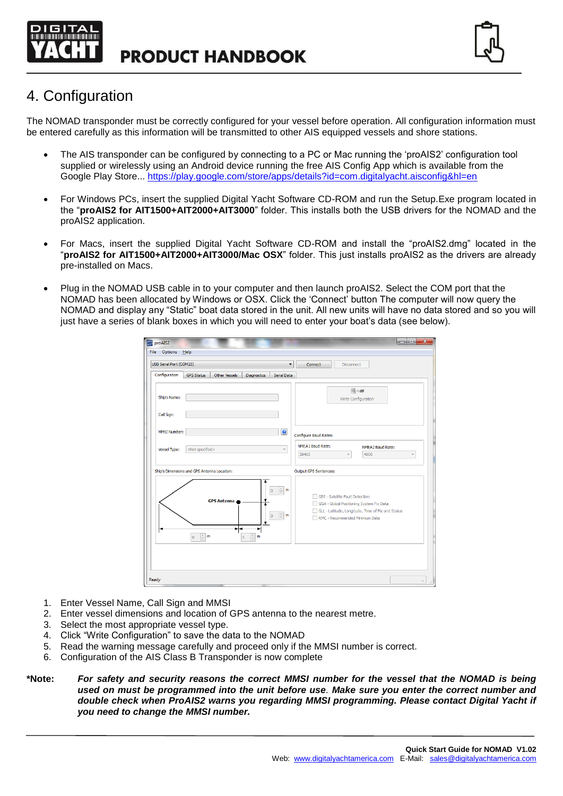



# 4. Configuration

The NOMAD transponder must be correctly configured for your vessel before operation. All configuration information must be entered carefully as this information will be transmitted to other AIS equipped vessels and shore stations.

- The AIS transponder can be configured by connecting to a PC or Mac running the 'proAIS2' configuration tool supplied or wirelessly using an Android device running the free AIS Config App which is available from the Google Play Store...<https://play.google.com/store/apps/details?id=com.digitalyacht.aisconfig&hl=en>
- For Windows PCs, insert the supplied Digital Yacht Software CD-ROM and run the Setup.Exe program located in the "**proAIS2 for AIT1500+AIT2000+AIT3000**" folder. This installs both the USB drivers for the NOMAD and the proAIS2 application.
- For Macs, insert the supplied Digital Yacht Software CD-ROM and install the "proAIS2.dmg" located in the "**proAIS2 for AIT1500+AIT2000+AIT3000/Mac OSX**" folder. This just installs proAIS2 as the drivers are already pre-installed on Macs.
- Plug in the NOMAD USB cable in to your computer and then launch proAIS2. Select the COM port that the NOMAD has been allocated by Windows or OSX. Click the 'Connect' button The computer will now query the NOMAD and display any "Static" boat data stored in the unit. All new units will have no data stored and so you will just have a series of blank boxes in which you will need to enter your boat's data (see below).

| pro proAIS2                                                                                                                                                                                       | $\overline{\phantom{a}}$ $\overline{\phantom{a}}$<br>$\mathbf{x}$                                                                                                  |
|---------------------------------------------------------------------------------------------------------------------------------------------------------------------------------------------------|--------------------------------------------------------------------------------------------------------------------------------------------------------------------|
| File<br><b>Options</b><br>Help                                                                                                                                                                    |                                                                                                                                                                    |
| USB Serial Port (COM25)<br>$\blacktriangledown$                                                                                                                                                   | Connect<br><b>Disconnect</b>                                                                                                                                       |
| Configuration<br><b>GPS Status</b><br>Other Vessels<br>Diagnostics<br>Serial Data                                                                                                                 |                                                                                                                                                                    |
| Ship's Name:                                                                                                                                                                                      | 用小学<br>Write Configuration                                                                                                                                         |
| Call Sign:                                                                                                                                                                                        |                                                                                                                                                                    |
| $\odot$<br>MMSI Number:                                                                                                                                                                           | Configure Baud Rates:                                                                                                                                              |
| <not specified=""><br/>Vessel Type:</not>                                                                                                                                                         | NMEA1 Baud Rate:<br>NMEA2 Baud Rate:<br>4800<br>38400<br>$\overline{\phantom{a}}$                                                                                  |
| Ship's Dimensions and GPS Antenna Location:                                                                                                                                                       | <b>Output GPS Sentences:</b>                                                                                                                                       |
| $\frac{\wedge}{\vee}$ m<br>$\overline{0}$<br><b>GPS Antenna</b><br>$\frac{\triangle}{\vee}$ m<br>$\mathbf 0$<br>$\frac{A}{\sqrt{2}}$ m<br>$\frac{\Lambda}{\nu}$<br>m<br>$\bf 0$<br>$\overline{0}$ | GBS - Satellite Fault Detection<br>GGA - Global Positioning System Fix Data<br>GLL - Latitude, Longitude, Time of Fix and Status<br>RMC - Recommended Minimum Data |
| Ready                                                                                                                                                                                             | ш                                                                                                                                                                  |

- 1. Enter Vessel Name, Call Sign and MMSI
- 2. Enter vessel dimensions and location of GPS antenna to the nearest metre.
- 3. Select the most appropriate vessel type.
- 4. Click "Write Configuration" to save the data to the NOMAD
- 5. Read the warning message carefully and proceed only if the MMSI number is correct.
- 6. Configuration of the AIS Class B Transponder is now complete
- **\*Note:** *For safety and security reasons the correct MMSI number for the vessel that the NOMAD is being used on must be programmed into the unit before use. Make sure you enter the correct number and double check when ProAIS2 warns you regarding MMSI programming. Please contact Digital Yacht if you need to change the MMSI number.*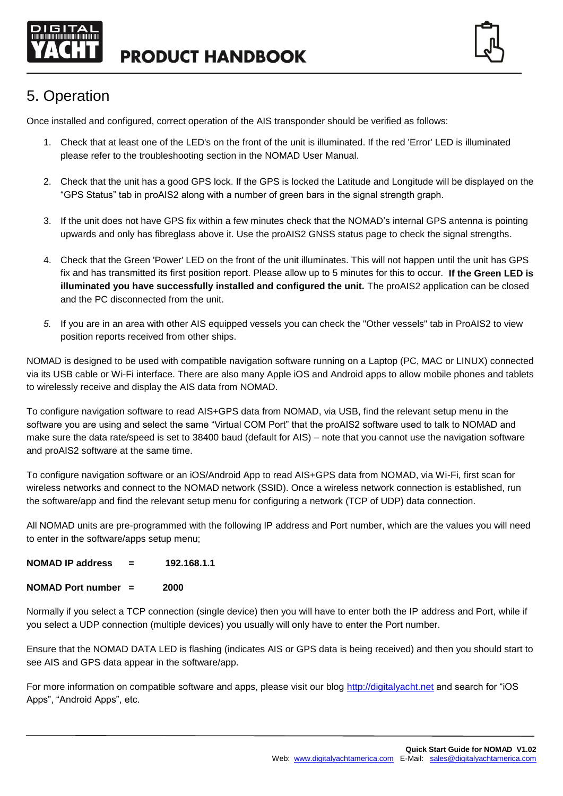

**PRODUCT HANDBOOK** 



# 5. Operation

Once installed and configured, correct operation of the AIS transponder should be verified as follows:

- 1. Check that at least one of the LED's on the front of the unit is illuminated. If the red 'Error' LED is illuminated please refer to the troubleshooting section in the NOMAD User Manual.
- 2. Check that the unit has a good GPS lock. If the GPS is locked the Latitude and Longitude will be displayed on the "GPS Status" tab in proAIS2 along with a number of green bars in the signal strength graph.
- 3. If the unit does not have GPS fix within a few minutes check that the NOMAD's internal GPS antenna is pointing upwards and only has fibreglass above it. Use the proAIS2 GNSS status page to check the signal strengths.
- 4. Check that the Green 'Power' LED on the front of the unit illuminates. This will not happen until the unit has GPS fix and has transmitted its first position report. Please allow up to 5 minutes for this to occur. **If the Green LED is illuminated you have successfully installed and configured the unit.** The proAIS2 application can be closed and the PC disconnected from the unit.
- *5.* If you are in an area with other AIS equipped vessels you can check the "Other vessels" tab in ProAIS2 to view position reports received from other ships.

NOMAD is designed to be used with compatible navigation software running on a Laptop (PC, MAC or LINUX) connected via its USB cable or Wi-Fi interface. There are also many Apple iOS and Android apps to allow mobile phones and tablets to wirelessly receive and display the AIS data from NOMAD.

To configure navigation software to read AIS+GPS data from NOMAD, via USB, find the relevant setup menu in the software you are using and select the same "Virtual COM Port" that the proAIS2 software used to talk to NOMAD and make sure the data rate/speed is set to 38400 baud (default for AIS) – note that you cannot use the navigation software and proAIS2 software at the same time.

To configure navigation software or an iOS/Android App to read AIS+GPS data from NOMAD, via Wi-Fi, first scan for wireless networks and connect to the NOMAD network (SSID). Once a wireless network connection is established, run the software/app and find the relevant setup menu for configuring a network (TCP of UDP) data connection.

All NOMAD units are pre-programmed with the following IP address and Port number, which are the values you will need to enter in the software/apps setup menu;

| NOMAD IP address | 192.168.1.1 |
|------------------|-------------|
|------------------|-------------|

|  | <b>NOMAD Port number</b> |  | 2000 |
|--|--------------------------|--|------|
|--|--------------------------|--|------|

Normally if you select a TCP connection (single device) then you will have to enter both the IP address and Port, while if you select a UDP connection (multiple devices) you usually will only have to enter the Port number.

Ensure that the NOMAD DATA LED is flashing (indicates AIS or GPS data is being received) and then you should start to see AIS and GPS data appear in the software/app.

For more information on compatible software and apps, please visit our blog [http://digitalyacht.net](http://digitalyacht.net/) and search for "iOS Apps", "Android Apps", etc.